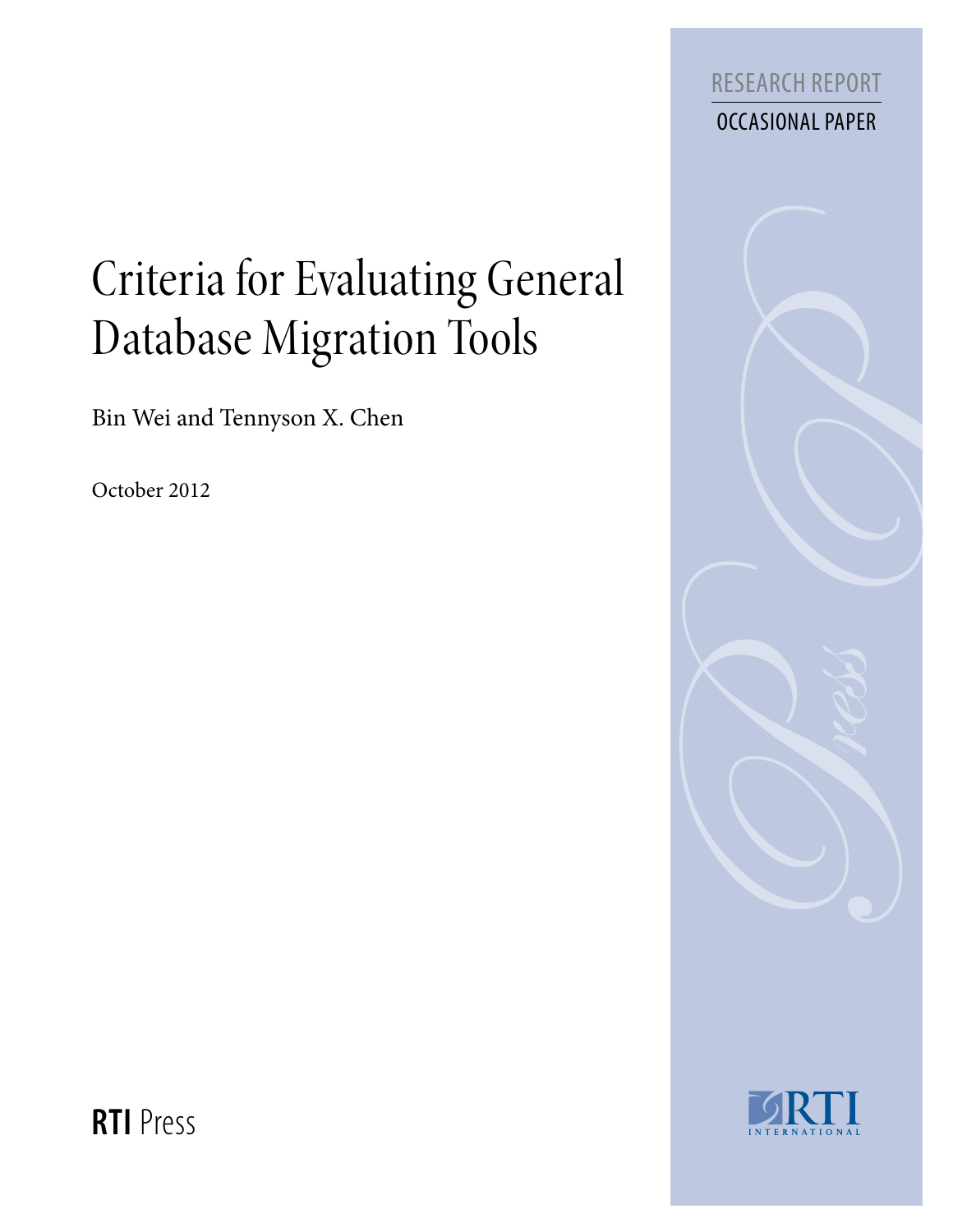

# Criteria for Evaluating General Database Migration Tools

Bin Wei and Tennyson X. Chen

October 2012





**RTI** Press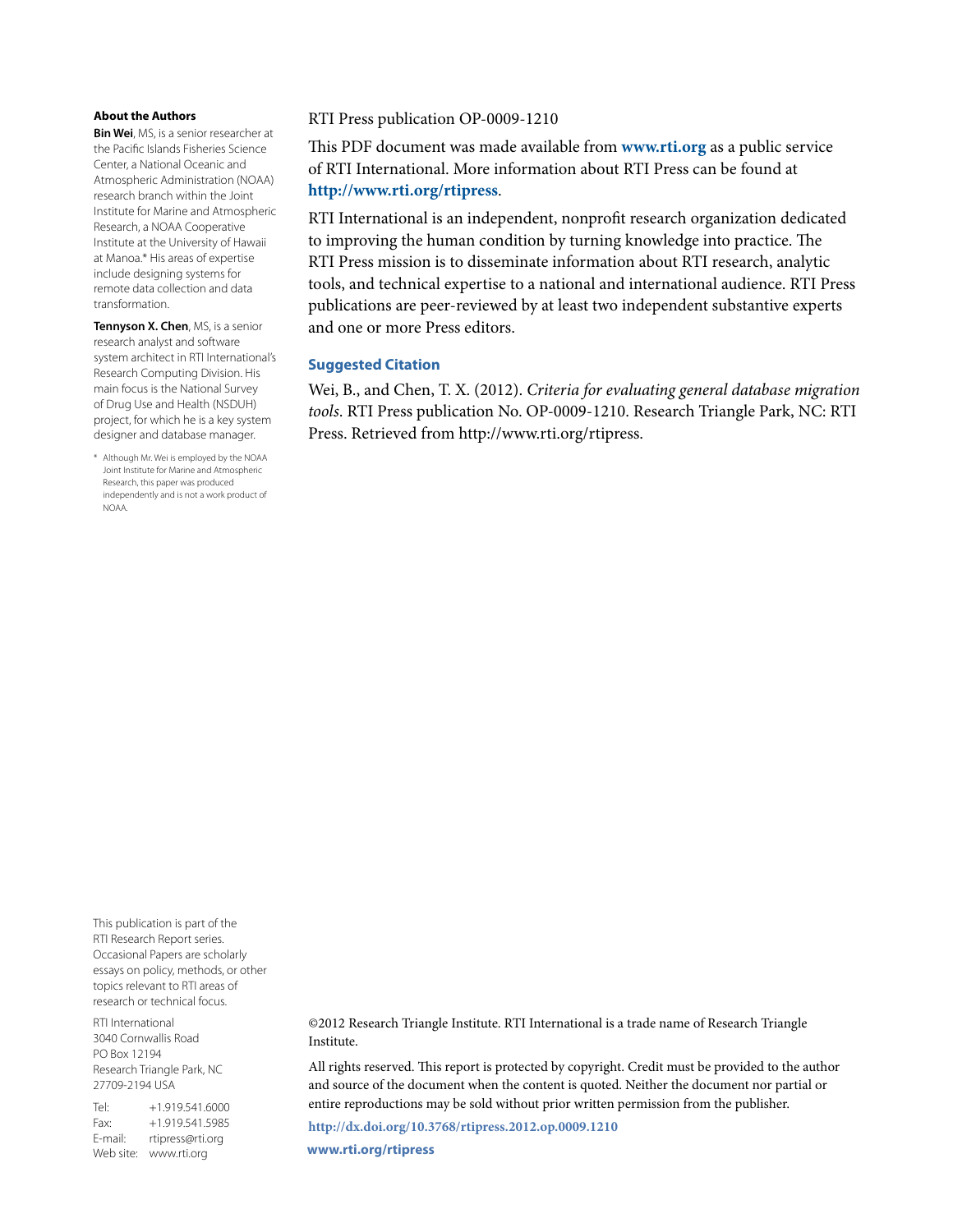#### **About the Authors**

**Bin Wei**, MS, is a senior researcher at the Pacific Islands Fisheries Science Center, a National Oceanic and Atmospheric Administration (NOAA) research branch within the Joint Institute for Marine and Atmospheric Research, a NOAA Cooperative Institute at the University of Hawaii at Manoa.\* His areas of expertise include designing systems for remote data collection and data transformation.

**Tennyson X. Chen**, MS, is a senior research analyst and software system architect in RTI International's Research Computing Division. His main focus is the National Survey of Drug Use and Health (NSDUH) project, for which he is a key system designer and database manager.

\* Although Mr. Wei is employed by the NOAA Joint Institute for Marine and Atmospheric Research, this paper was produced independently and is not a work product of NOAA.

#### RTI Press publication OP-0009-1210

This PDF document was made available from **www.rti.org** as a public service of RTI International. More information about RTI Press can be found at **http://www.rti.org/rtipress**.

RTI International is an independent, nonprofit research organization dedicated to improving the human condition by turning knowledge into practice. The RTI Press mission is to disseminate information about RTI research, analytic tools, and technical expertise to a national and international audience. RTI Press publications are peer-reviewed by at least two independent substantive experts and one or more Press editors.

#### **Suggested Citation**

Wei, B., and Chen, T. X. (2012). *Criteria for evaluating general database migration tools*. RTI Press publication No. OP-0009-1210. Research Triangle Park, NC: RTI Press. Retrieved from http://www.rti.org/rtipress.

This publication is part of the RTI Research Report series. Occasional Papers are scholarly essays on policy, methods, or other topics relevant to RTI areas of research or technical focus.

RTI International 3040 Cornwallis Road PO Box 12194 Research Triangle Park, NC 27709-2194 USA

Tel: +1.919.541.6000 Fax: +1.919.541.5985 E-mail: rtipress@rti.org Web site: www.rti.org

©2012 Research Triangle Institute. RTI International is a trade name of Research Triangle Institute.

All rights reserved. This report is protected by copyright. Credit must be provided to the author and source of the document when the content is quoted. Neither the document nor partial or entire reproductions may be sold without prior written permission from the publisher.

**http://dx.doi.org/10.3768/rtipress.2012.op.0009.1210 www.rti.org/rtipress**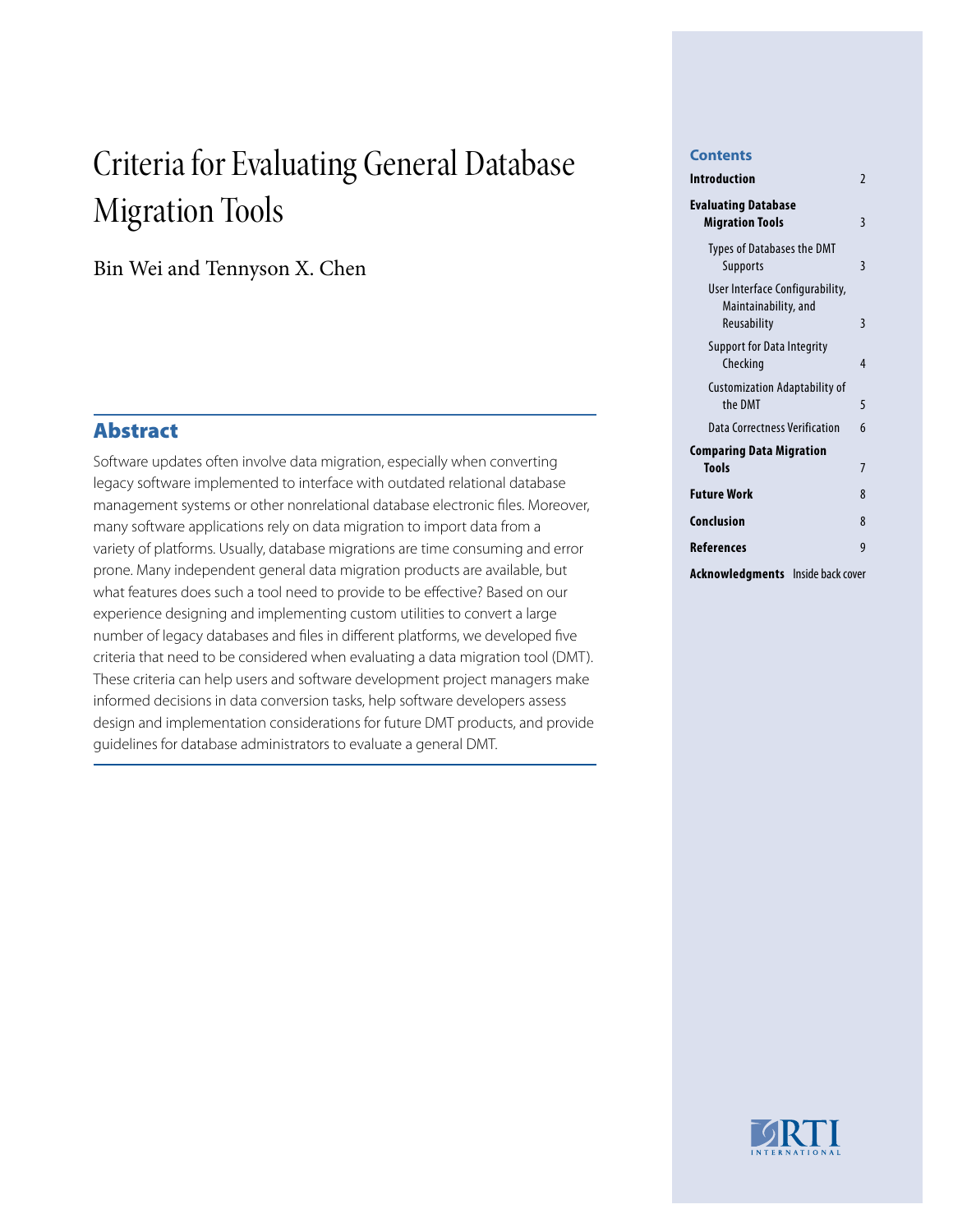# Criteria for Evaluating General Database Migration Tools

Bin Wei and Tennyson X. Chen

# Abstract

Software updates often involve data migration, especially when converting legacy software implemented to interface with outdated relational database management systems or other nonrelational database electronic files. Moreover, many software applications rely on data migration to import data from a variety of platforms. Usually, database migrations are time consuming and error prone. Many independent general data migration products are available, but what features does such a tool need to provide to be effective? Based on our experience designing and implementing custom utilities to convert a large number of legacy databases and files in different platforms, we developed five criteria that need to be considered when evaluating a data migration tool (DMT). These criteria can help users and software development project managers make informed decisions in data conversion tasks, help software developers assess design and implementation considerations for future DMT products, and provide guidelines for database administrators to evaluate a general DMT.

#### **Contents**

| Introduction                                                           | $\mathfrak z$ |
|------------------------------------------------------------------------|---------------|
| <b>Evaluating Database</b><br><b>Migration Tools</b>                   | 3             |
| <b>Types of Databases the DMT</b><br>Supports                          | 3             |
| User Interface Configurability,<br>Maintainability, and<br>Reusability | 3             |
| <b>Support for Data Integrity</b><br>Checking                          | 4             |
| <b>Customization Adaptability of</b><br>the DMT                        | 5             |
| Data Correctness Verification                                          | 6             |
| Comparing Data Migration                                               |               |
| <b>Tools</b>                                                           | 7             |
| <b>Future Work</b>                                                     | 8             |
| Conclusion                                                             | 8             |
| References                                                             | 9             |
| Acknowledgments<br>Inside back cover                                   |               |

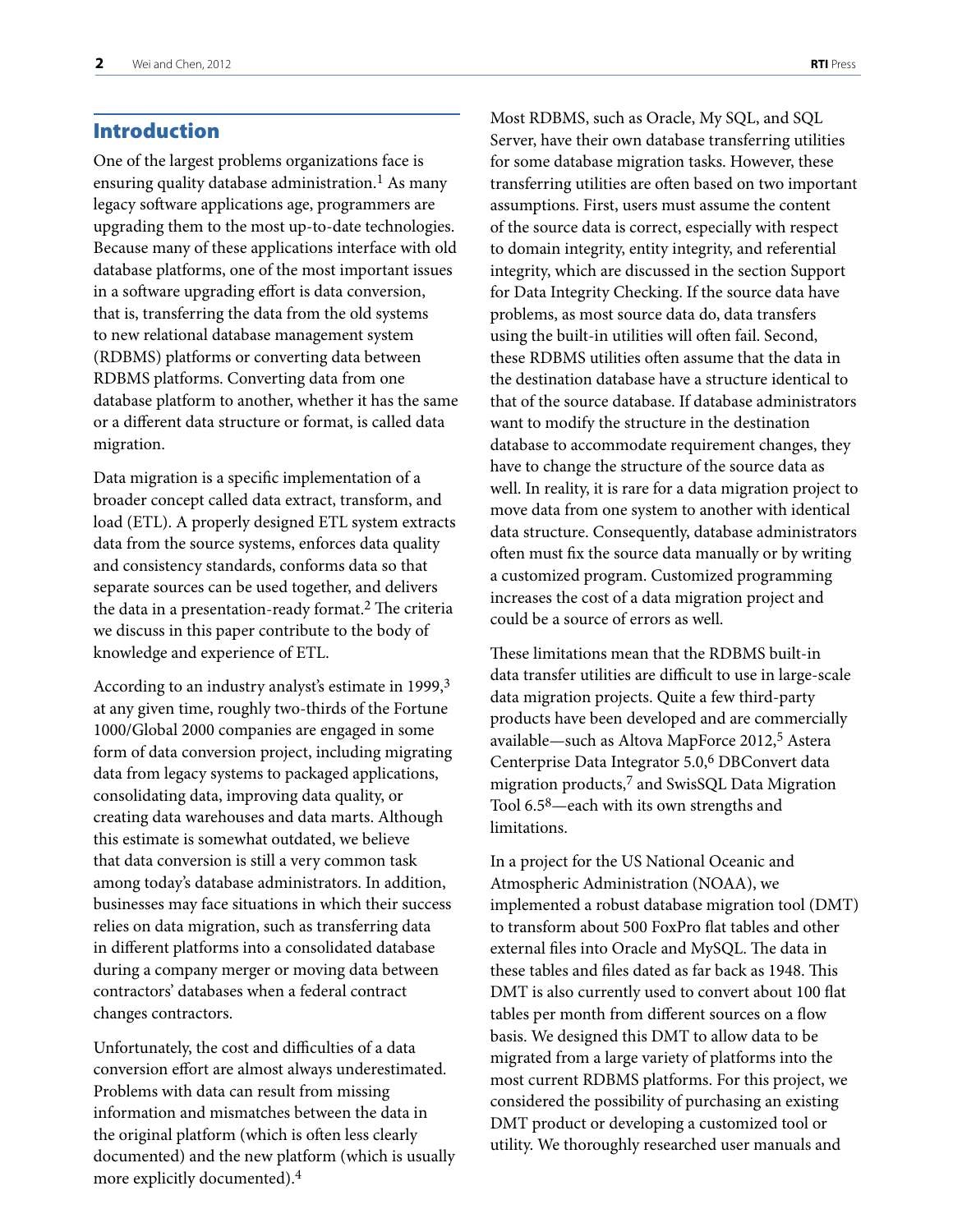# <span id="page-3-0"></span>Introduction

One of the largest problems organizations face is ensuring quality database administration.<sup>1</sup> As many legacy software applications age, programmers are upgrading them to the most up-to-date technologies. Because many of these applications interface with old database platforms, one of the most important issues in a software upgrading effort is data conversion, that is, transferring the data from the old systems to new relational database management system (RDBMS) platforms or converting data between RDBMS platforms. Converting data from one database platform to another, whether it has the same or a different data structure or format, is called data migration.

Data migration is a specific implementation of a broader concept called data extract, transform, and load (ETL). A properly designed ETL system extracts data from the source systems, enforces data quality and consistency standards, conforms data so that separate sources can be used together, and delivers the data in a presentation-ready format.2 The criteria we discuss in this paper contribute to the body of knowledge and experience of ETL.

According to an industry analyst's estimate in 1999,<sup>3</sup> at any given time, roughly two-thirds of the Fortune 1000/Global 2000 companies are engaged in some form of data conversion project, including migrating data from legacy systems to packaged applications, consolidating data, improving data quality, or creating data warehouses and data marts. Although this estimate is somewhat outdated, we believe that data conversion is still a very common task among today's database administrators. In addition, businesses may face situations in which their success relies on data migration, such as transferring data in different platforms into a consolidated database during a company merger or moving data between contractors' databases when a federal contract changes contractors.

Unfortunately, the cost and difficulties of a data conversion effort are almost always underestimated. Problems with data can result from missing information and mismatches between the data in the original platform (which is often less clearly documented) and the new platform (which is usually more explicitly documented).4

Most RDBMS, such as Oracle, My SQL, and SQL Server, have their own database transferring utilities for some database migration tasks. However, these transferring utilities are often based on two important assumptions. First, users must assume the content of the source data is correct, especially with respect to domain integrity, entity integrity, and referential integrity, which are discussed in the section Support for Data Integrity Checking. If the source data have problems, as most source data do, data transfers using the built-in utilities will often fail. Second, these RDBMS utilities often assume that the data in the destination database have a structure identical to that of the source database. If database administrators want to modify the structure in the destination database to accommodate requirement changes, they have to change the structure of the source data as well. In reality, it is rare for a data migration project to move data from one system to another with identical data structure. Consequently, database administrators often must fix the source data manually or by writing a customized program. Customized programming increases the cost of a data migration project and could be a source of errors as well.

These limitations mean that the RDBMS built-in data transfer utilities are difficult to use in large-scale data migration projects. Quite a few third-party products have been developed and are commercially available—such as Altova MapForce 2012,<sup>5</sup> Astera Centerprise Data Integrator 5.0,6 DBConvert data migration products,7 and SwisSQL Data Migration Tool 6.58—each with its own strengths and limitations.

In a project for the US National Oceanic and Atmospheric Administration (NOAA), we implemented a robust database migration tool (DMT) to transform about 500 FoxPro flat tables and other external files into Oracle and MySQL. The data in these tables and files dated as far back as 1948. This DMT is also currently used to convert about 100 flat tables per month from different sources on a flow basis. We designed this DMT to allow data to be migrated from a large variety of platforms into the most current RDBMS platforms. For this project, we considered the possibility of purchasing an existing DMT product or developing a customized tool or utility. We thoroughly researched user manuals and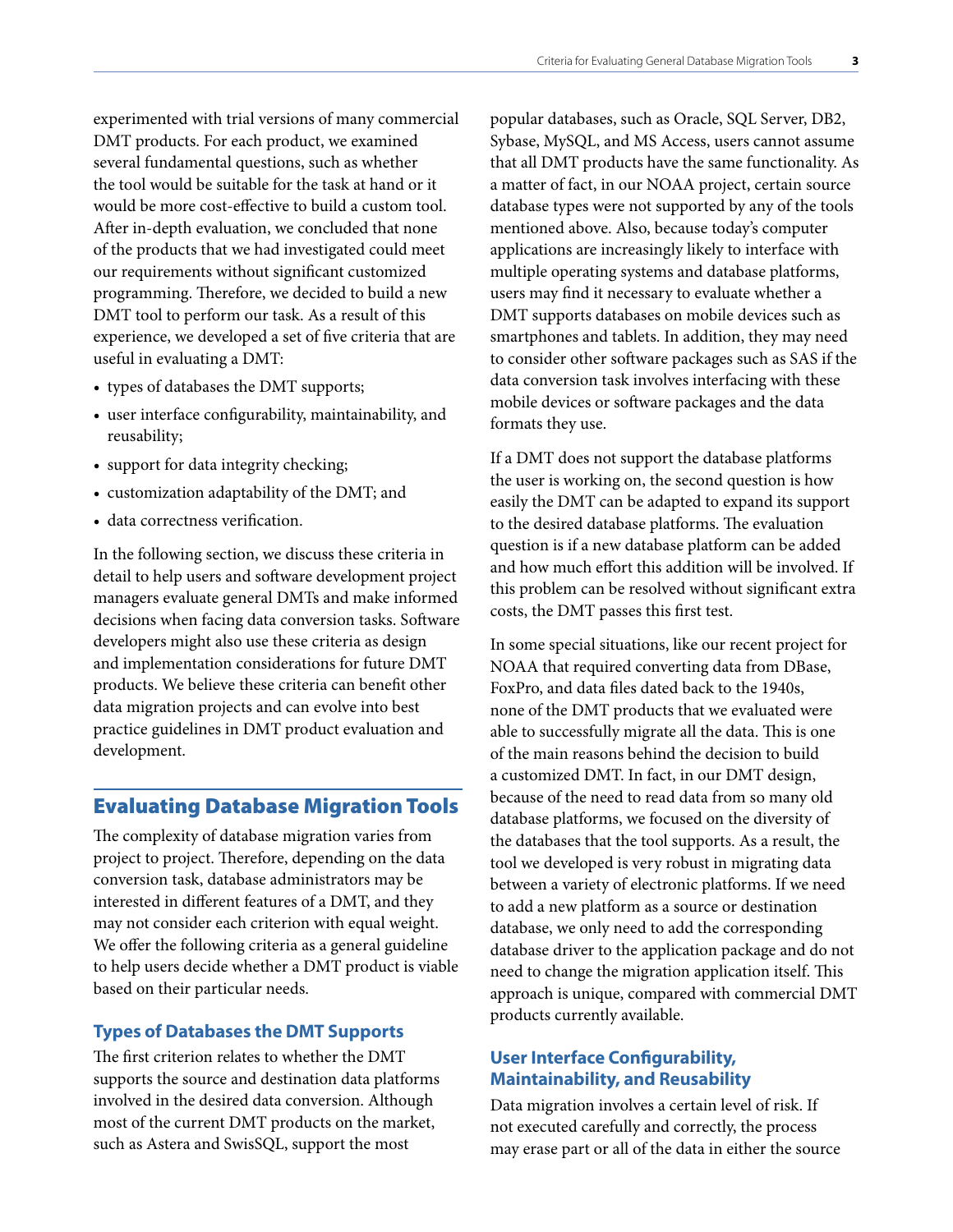<span id="page-4-0"></span>experimented with trial versions of many commercial DMT products. For each product, we examined several fundamental questions, such as whether the tool would be suitable for the task at hand or it would be more cost-effective to build a custom tool. After in-depth evaluation, we concluded that none of the products that we had investigated could meet our requirements without significant customized programming. Therefore, we decided to build a new DMT tool to perform our task. As a result of this experience, we developed a set of five criteria that are useful in evaluating a DMT:

- types of databases the DMT supports;
- user interface configurability, maintainability, and reusability;
- support for data integrity checking;
- customization adaptability of the DMT; and
- data correctness verification.

In the following section, we discuss these criteria in detail to help users and software development project managers evaluate general DMTs and make informed decisions when facing data conversion tasks. Software developers might also use these criteria as design and implementation considerations for future DMT products. We believe these criteria can benefit other data migration projects and can evolve into best practice guidelines in DMT product evaluation and development.

# Evaluating Database Migration Tools

The complexity of database migration varies from project to project. Therefore, depending on the data conversion task, database administrators may be interested in different features of a DMT, and they may not consider each criterion with equal weight. We offer the following criteria as a general guideline to help users decide whether a DMT product is viable based on their particular needs.

#### **Types of Databases the DMT Supports**

The first criterion relates to whether the DMT supports the source and destination data platforms involved in the desired data conversion. Although most of the current DMT products on the market, such as Astera and SwisSQL, support the most

popular databases, such as Oracle, SQL Server, DB2, Sybase, MySQL, and MS Access, users cannot assume that all DMT products have the same functionality. As a matter of fact, in our NOAA project, certain source database types were not supported by any of the tools mentioned above. Also, because today's computer applications are increasingly likely to interface with multiple operating systems and database platforms, users may find it necessary to evaluate whether a DMT supports databases on mobile devices such as smartphones and tablets. In addition, they may need to consider other software packages such as SAS if the data conversion task involves interfacing with these mobile devices or software packages and the data formats they use.

If a DMT does not support the database platforms the user is working on, the second question is how easily the DMT can be adapted to expand its support to the desired database platforms. The evaluation question is if a new database platform can be added and how much effort this addition will be involved. If this problem can be resolved without significant extra costs, the DMT passes this first test.

In some special situations, like our recent project for NOAA that required converting data from DBase, FoxPro, and data files dated back to the 1940s, none of the DMT products that we evaluated were able to successfully migrate all the data. This is one of the main reasons behind the decision to build a customized DMT. In fact, in our DMT design, because of the need to read data from so many old database platforms, we focused on the diversity of the databases that the tool supports. As a result, the tool we developed is very robust in migrating data between a variety of electronic platforms. If we need to add a new platform as a source or destination database, we only need to add the corresponding database driver to the application package and do not need to change the migration application itself. This approach is unique, compared with commercial DMT products currently available.

## **User Interface Configurability, Maintainability, and Reusability**

Data migration involves a certain level of risk. If not executed carefully and correctly, the process may erase part or all of the data in either the source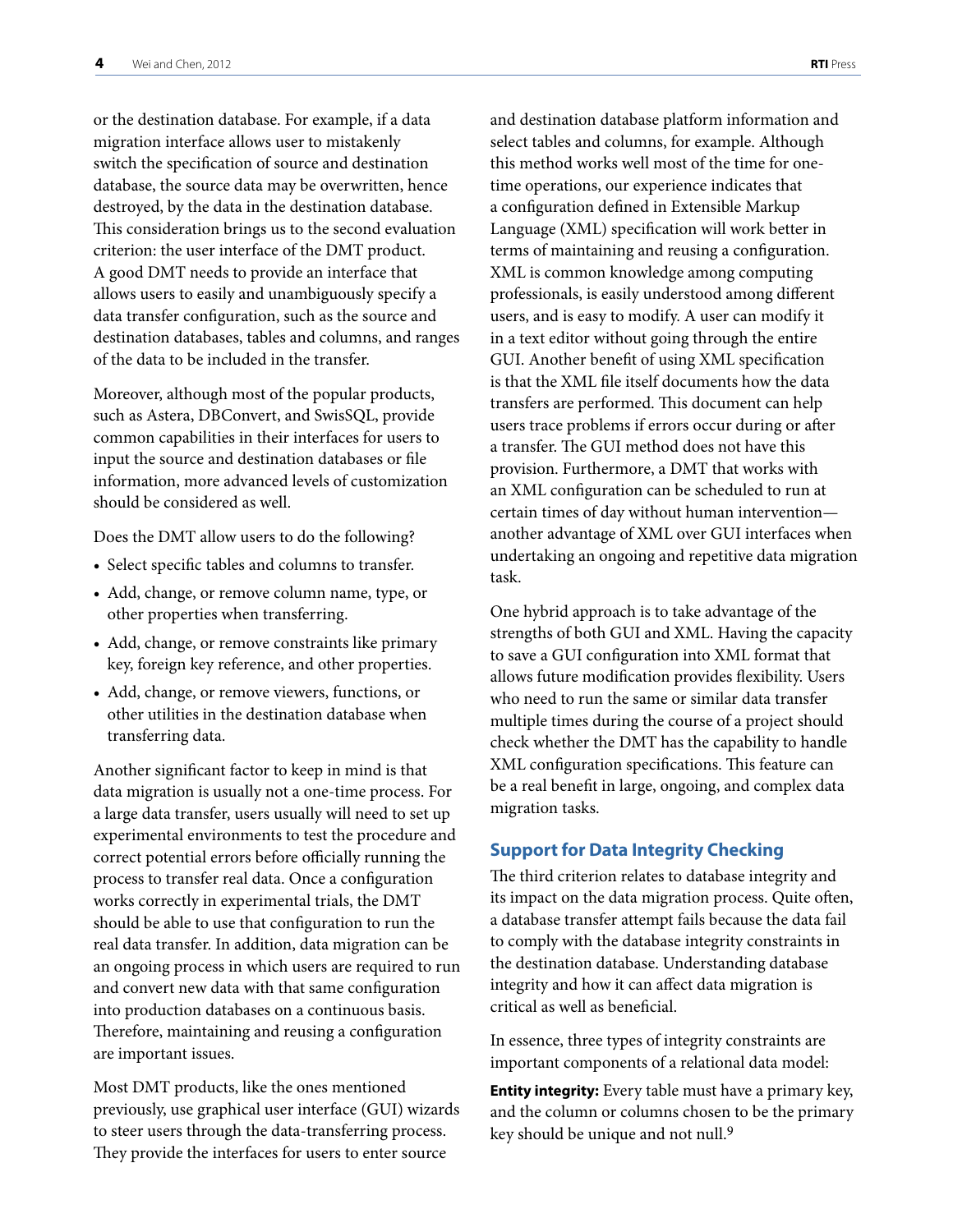<span id="page-5-0"></span>or the destination database. For example, if a data migration interface allows user to mistakenly switch the specification of source and destination database, the source data may be overwritten, hence destroyed, by the data in the destination database. This consideration brings us to the second evaluation criterion: the user interface of the DMT product. A good DMT needs to provide an interface that allows users to easily and unambiguously specify a data transfer configuration, such as the source and destination databases, tables and columns, and ranges of the data to be included in the transfer.

Moreover, although most of the popular products, such as Astera, DBConvert, and SwisSQL, provide common capabilities in their interfaces for users to input the source and destination databases or file information, more advanced levels of customization should be considered as well.

Does the DMT allow users to do the following?

- Select specific tables and columns to transfer.
- Add, change, or remove column name, type, or other properties when transferring.
- Add, change, or remove constraints like primary key, foreign key reference, and other properties.
- • Add, change, or remove viewers, functions, or other utilities in the destination database when transferring data.

Another significant factor to keep in mind is that data migration is usually not a one-time process. For a large data transfer, users usually will need to set up experimental environments to test the procedure and correct potential errors before officially running the process to transfer real data. Once a configuration works correctly in experimental trials, the DMT should be able to use that configuration to run the real data transfer. In addition, data migration can be an ongoing process in which users are required to run and convert new data with that same configuration into production databases on a continuous basis. Therefore, maintaining and reusing a configuration are important issues.

Most DMT products, like the ones mentioned previously, use graphical user interface (GUI) wizards to steer users through the data-transferring process. They provide the interfaces for users to enter source

and destination database platform information and select tables and columns, for example. Although this method works well most of the time for onetime operations, our experience indicates that a configuration defined in Extensible Markup Language (XML) specification will work better in terms of maintaining and reusing a configuration. XML is common knowledge among computing professionals, is easily understood among different users, and is easy to modify. A user can modify it in a text editor without going through the entire GUI. Another benefit of using XML specification is that the XML file itself documents how the data transfers are performed. This document can help users trace problems if errors occur during or after a transfer. The GUI method does not have this provision. Furthermore, a DMT that works with an XML configuration can be scheduled to run at certain times of day without human intervention another advantage of XML over GUI interfaces when undertaking an ongoing and repetitive data migration task.

One hybrid approach is to take advantage of the strengths of both GUI and XML. Having the capacity to save a GUI configuration into XML format that allows future modification provides flexibility. Users who need to run the same or similar data transfer multiple times during the course of a project should check whether the DMT has the capability to handle XML configuration specifications. This feature can be a real benefit in large, ongoing, and complex data migration tasks.

#### **Support for Data Integrity Checking**

The third criterion relates to database integrity and its impact on the data migration process. Quite often, a database transfer attempt fails because the data fail to comply with the database integrity constraints in the destination database. Understanding database integrity and how it can affect data migration is critical as well as beneficial.

In essence, three types of integrity constraints are important components of a relational data model:

**Entity integrity:** Every table must have a primary key, and the column or columns chosen to be the primary key should be unique and not null.<sup>9</sup>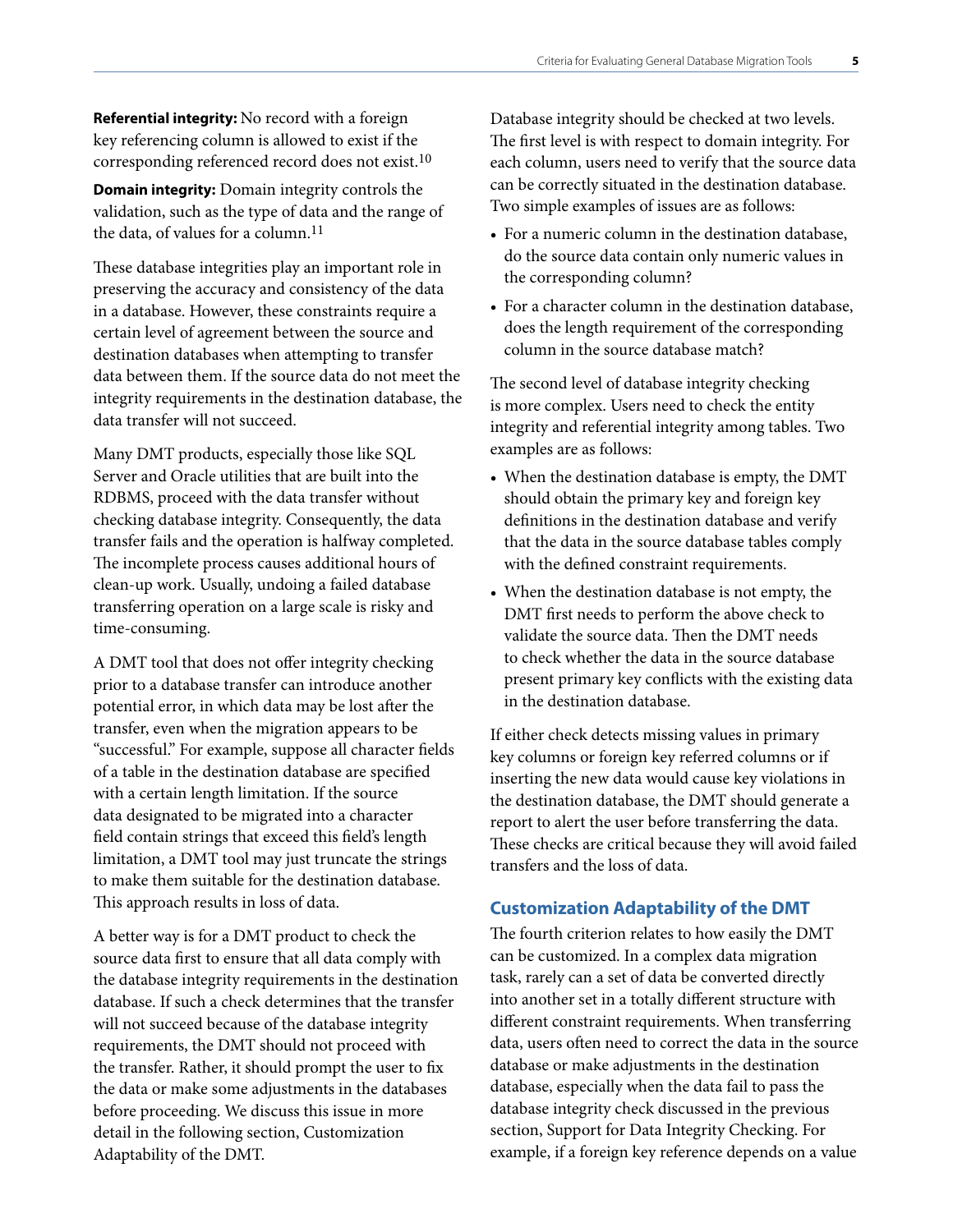<span id="page-6-0"></span>**Referential integrity:** No record with a foreign key referencing column is allowed to exist if the corresponding referenced record does not exist.10

**Domain integrity:** Domain integrity controls the validation, such as the type of data and the range of the data, of values for a column.<sup>11</sup>

These database integrities play an important role in preserving the accuracy and consistency of the data in a database. However, these constraints require a certain level of agreement between the source and destination databases when attempting to transfer data between them. If the source data do not meet the integrity requirements in the destination database, the data transfer will not succeed.

Many DMT products, especially those like SQL Server and Oracle utilities that are built into the RDBMS, proceed with the data transfer without checking database integrity. Consequently, the data transfer fails and the operation is halfway completed. The incomplete process causes additional hours of clean-up work. Usually, undoing a failed database transferring operation on a large scale is risky and time-consuming.

A DMT tool that does not offer integrity checking prior to a database transfer can introduce another potential error, in which data may be lost after the transfer, even when the migration appears to be "successful." For example, suppose all character fields of a table in the destination database are specified with a certain length limitation. If the source data designated to be migrated into a character field contain strings that exceed this field's length limitation, a DMT tool may just truncate the strings to make them suitable for the destination database. This approach results in loss of data.

A better way is for a DMT product to check the source data first to ensure that all data comply with the database integrity requirements in the destination database. If such a check determines that the transfer will not succeed because of the database integrity requirements, the DMT should not proceed with the transfer. Rather, it should prompt the user to fix the data or make some adjustments in the databases before proceeding. We discuss this issue in more detail in the following section, Customization Adaptability of the DMT.

Database integrity should be checked at two levels. The first level is with respect to domain integrity. For each column, users need to verify that the source data can be correctly situated in the destination database. Two simple examples of issues are as follows:

- For a numeric column in the destination database, do the source data contain only numeric values in the corresponding column?
- For a character column in the destination database, does the length requirement of the corresponding column in the source database match?

The second level of database integrity checking is more complex. Users need to check the entity integrity and referential integrity among tables. Two examples are as follows:

- When the destination database is empty, the DMT should obtain the primary key and foreign key definitions in the destination database and verify that the data in the source database tables comply with the defined constraint requirements.
- When the destination database is not empty, the DMT first needs to perform the above check to validate the source data. Then the DMT needs to check whether the data in the source database present primary key conflicts with the existing data in the destination database.

If either check detects missing values in primary key columns or foreign key referred columns or if inserting the new data would cause key violations in the destination database, the DMT should generate a report to alert the user before transferring the data. These checks are critical because they will avoid failed transfers and the loss of data.

#### **Customization Adaptability of the DMT**

The fourth criterion relates to how easily the DMT can be customized. In a complex data migration task, rarely can a set of data be converted directly into another set in a totally different structure with different constraint requirements. When transferring data, users often need to correct the data in the source database or make adjustments in the destination database, especially when the data fail to pass the database integrity check discussed in the previous section, Support for Data Integrity Checking. For example, if a foreign key reference depends on a value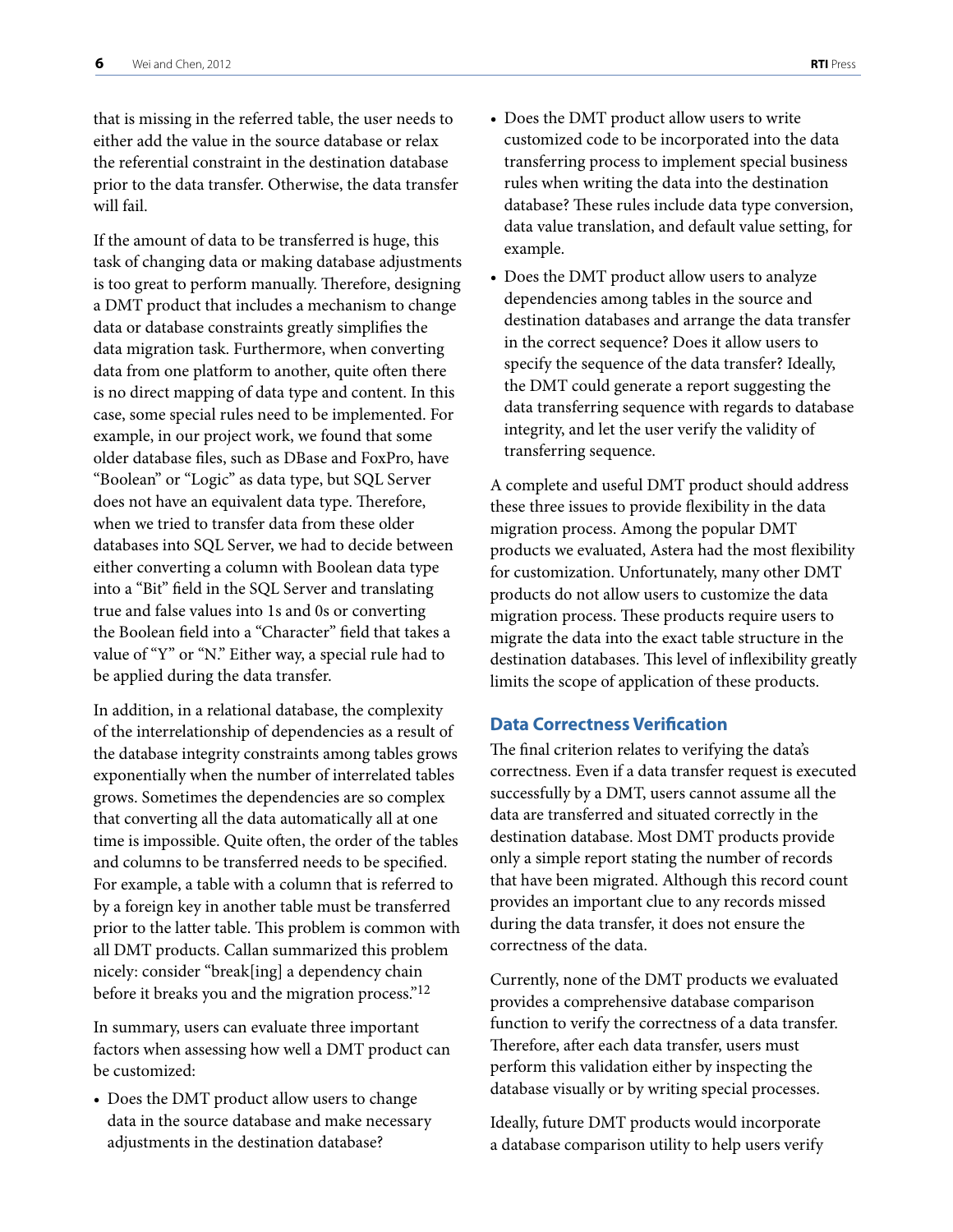<span id="page-7-0"></span>that is missing in the referred table, the user needs to either add the value in the source database or relax the referential constraint in the destination database prior to the data transfer. Otherwise, the data transfer will fail.

If the amount of data to be transferred is huge, this task of changing data or making database adjustments is too great to perform manually. Therefore, designing a DMT product that includes a mechanism to change data or database constraints greatly simplifies the data migration task. Furthermore, when converting data from one platform to another, quite often there is no direct mapping of data type and content. In this case, some special rules need to be implemented. For example, in our project work, we found that some older database files, such as DBase and FoxPro, have "Boolean" or "Logic" as data type, but SQL Server does not have an equivalent data type. Therefore, when we tried to transfer data from these older databases into SQL Server, we had to decide between either converting a column with Boolean data type into a "Bit" field in the SQL Server and translating true and false values into 1s and 0s or converting the Boolean field into a "Character" field that takes a value of "Y" or "N." Either way, a special rule had to be applied during the data transfer.

In addition, in a relational database, the complexity of the interrelationship of dependencies as a result of the database integrity constraints among tables grows exponentially when the number of interrelated tables grows. Sometimes the dependencies are so complex that converting all the data automatically all at one time is impossible. Quite often, the order of the tables and columns to be transferred needs to be specified. For example, a table with a column that is referred to by a foreign key in another table must be transferred prior to the latter table. This problem is common with all DMT products. Callan summarized this problem nicely: consider "break[ing] a dependency chain before it breaks you and the migration process."12

In summary, users can evaluate three important factors when assessing how well a DMT product can be customized:

• Does the DMT product allow users to change data in the source database and make necessary adjustments in the destination database?

- Does the DMT product allow users to write customized code to be incorporated into the data transferring process to implement special business rules when writing the data into the destination database? These rules include data type conversion, data value translation, and default value setting, for example.
- Does the DMT product allow users to analyze dependencies among tables in the source and destination databases and arrange the data transfer in the correct sequence? Does it allow users to specify the sequence of the data transfer? Ideally, the DMT could generate a report suggesting the data transferring sequence with regards to database integrity, and let the user verify the validity of transferring sequence.

A complete and useful DMT product should address these three issues to provide flexibility in the data migration process. Among the popular DMT products we evaluated, Astera had the most flexibility for customization. Unfortunately, many other DMT products do not allow users to customize the data migration process. These products require users to migrate the data into the exact table structure in the destination databases. This level of inflexibility greatly limits the scope of application of these products.

#### **Data Correctness Verification**

The final criterion relates to verifying the data's correctness. Even if a data transfer request is executed successfully by a DMT, users cannot assume all the data are transferred and situated correctly in the destination database. Most DMT products provide only a simple report stating the number of records that have been migrated. Although this record count provides an important clue to any records missed during the data transfer, it does not ensure the correctness of the data.

Currently, none of the DMT products we evaluated provides a comprehensive database comparison function to verify the correctness of a data transfer. Therefore, after each data transfer, users must perform this validation either by inspecting the database visually or by writing special processes.

Ideally, future DMT products would incorporate a database comparison utility to help users verify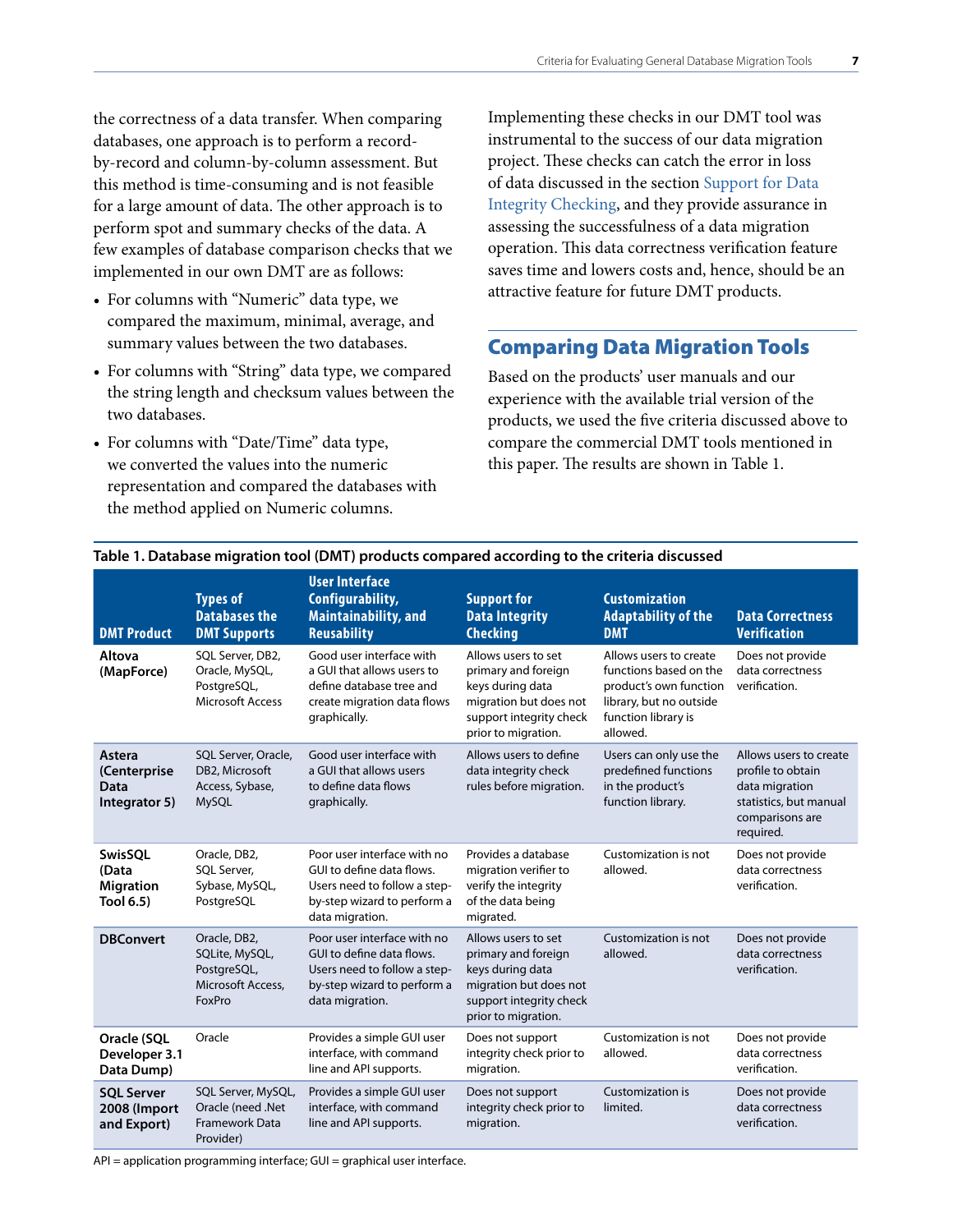<span id="page-8-0"></span>the correctness of a data transfer. When comparing databases, one approach is to perform a recordby-record and column-by-column assessment. But this method is time-consuming and is not feasible for a large amount of data. The other approach is to perform spot and summary checks of the data. A few examples of database comparison checks that we implemented in our own DMT are as follows:

- For columns with "Numeric" data type, we compared the maximum, minimal, average, and summary values between the two databases.
- For columns with "String" data type, we compared the string length and checksum values between the two databases.
- For columns with "Date/Time" data type, we converted the values into the numeric representation and compared the databases with the method applied on Numeric columns.

Implementing these checks in our DMT tool was instrumental to the success of our data migration project. These checks can catch the error in loss of data discussed in the section Support for Data [Integrity Checking, and they provide assurance in](#page-5-0)  assessing the successfulness of a data migration operation. This data correctness verification feature saves time and lowers costs and, hence, should be an attractive feature for future DMT products.

# Comparing Data Migration Tools

Based on the products' user manuals and our experience with the available trial version of the products, we used the five criteria discussed above to compare the commercial DMT tools mentioned in this paper. The results are shown in Table 1.

| <b>DMT Product</b>                                       | <b>Types of</b><br><b>Databases the</b><br><b>DMT Supports</b>               | <b>User Interface</b><br>Configurability,<br><b>Maintainability, and</b><br><b>Reusability</b>                                             | <b>Support for</b><br><b>Data Integrity</b><br><b>Checking</b>                                                                             | <b>Customization</b><br><b>Adaptability of the</b><br><b>DMT</b>                                                                         | <b>Data Correctness</b><br><b>Verification</b>                                                                          |
|----------------------------------------------------------|------------------------------------------------------------------------------|--------------------------------------------------------------------------------------------------------------------------------------------|--------------------------------------------------------------------------------------------------------------------------------------------|------------------------------------------------------------------------------------------------------------------------------------------|-------------------------------------------------------------------------------------------------------------------------|
| Altova<br>(MapForce)                                     | SQL Server, DB2,<br>Oracle, MySQL,<br>PostgreSQL,<br><b>Microsoft Access</b> | Good user interface with<br>a GUI that allows users to<br>define database tree and<br>create migration data flows<br>graphically.          | Allows users to set<br>primary and foreign<br>keys during data<br>migration but does not<br>support integrity check<br>prior to migration. | Allows users to create<br>functions based on the<br>product's own function<br>library, but no outside<br>function library is<br>allowed. | Does not provide<br>data correctness<br>verification.                                                                   |
| Astera<br>(Centerprise<br>Data<br>Integrator 5)          | SQL Server, Oracle,<br>DB2, Microsoft<br>Access, Sybase,<br><b>MySQL</b>     | Good user interface with<br>a GUI that allows users<br>to define data flows<br>graphically.                                                | Allows users to define<br>data integrity check<br>rules before migration.                                                                  | Users can only use the<br>predefined functions<br>in the product's<br>function library.                                                  | Allows users to create<br>profile to obtain<br>data migration<br>statistics, but manual<br>comparisons are<br>required. |
| <b>SwisSOL</b><br>(Data<br><b>Migration</b><br>Tool 6.5) | Oracle, DB2,<br>SQL Server,<br>Sybase, MySQL,<br>PostgreSQL                  | Poor user interface with no<br>GUI to define data flows.<br>Users need to follow a step-<br>by-step wizard to perform a<br>data migration. | Provides a database<br>migration verifier to<br>verify the integrity<br>of the data being<br>migrated.                                     | Customization is not<br>allowed.                                                                                                         | Does not provide<br>data correctness<br>verification.                                                                   |
| <b>DBConvert</b>                                         | Oracle, DB2,<br>SQLite, MySQL,<br>PostgreSQL,<br>Microsoft Access,<br>FoxPro | Poor user interface with no<br>GUI to define data flows.<br>Users need to follow a step-<br>by-step wizard to perform a<br>data migration. | Allows users to set<br>primary and foreign<br>keys during data<br>migration but does not<br>support integrity check<br>prior to migration. | Customization is not<br>allowed.                                                                                                         | Does not provide<br>data correctness<br>verification.                                                                   |
| Oracle (SQL<br>Developer 3.1<br>Data Dump)               | Oracle                                                                       | Provides a simple GUI user<br>interface, with command<br>line and API supports.                                                            | Does not support<br>integrity check prior to<br>migration.                                                                                 | Customization is not<br>allowed.                                                                                                         | Does not provide<br>data correctness<br>verification.                                                                   |
| <b>SQL Server</b><br>2008 (Import<br>and Export)         | SQL Server, MySQL,<br>Oracle (need .Net<br>Framework Data<br>Provider)       | Provides a simple GUI user<br>interface, with command<br>line and API supports.                                                            | Does not support<br>integrity check prior to<br>migration.                                                                                 | Customization is<br>limited.                                                                                                             | Does not provide<br>data correctness<br>verification.                                                                   |

#### **Table 1. Database migration tool (DMT) products compared according to the criteria discussed**

API = application programming interface; GUI = graphical user interface.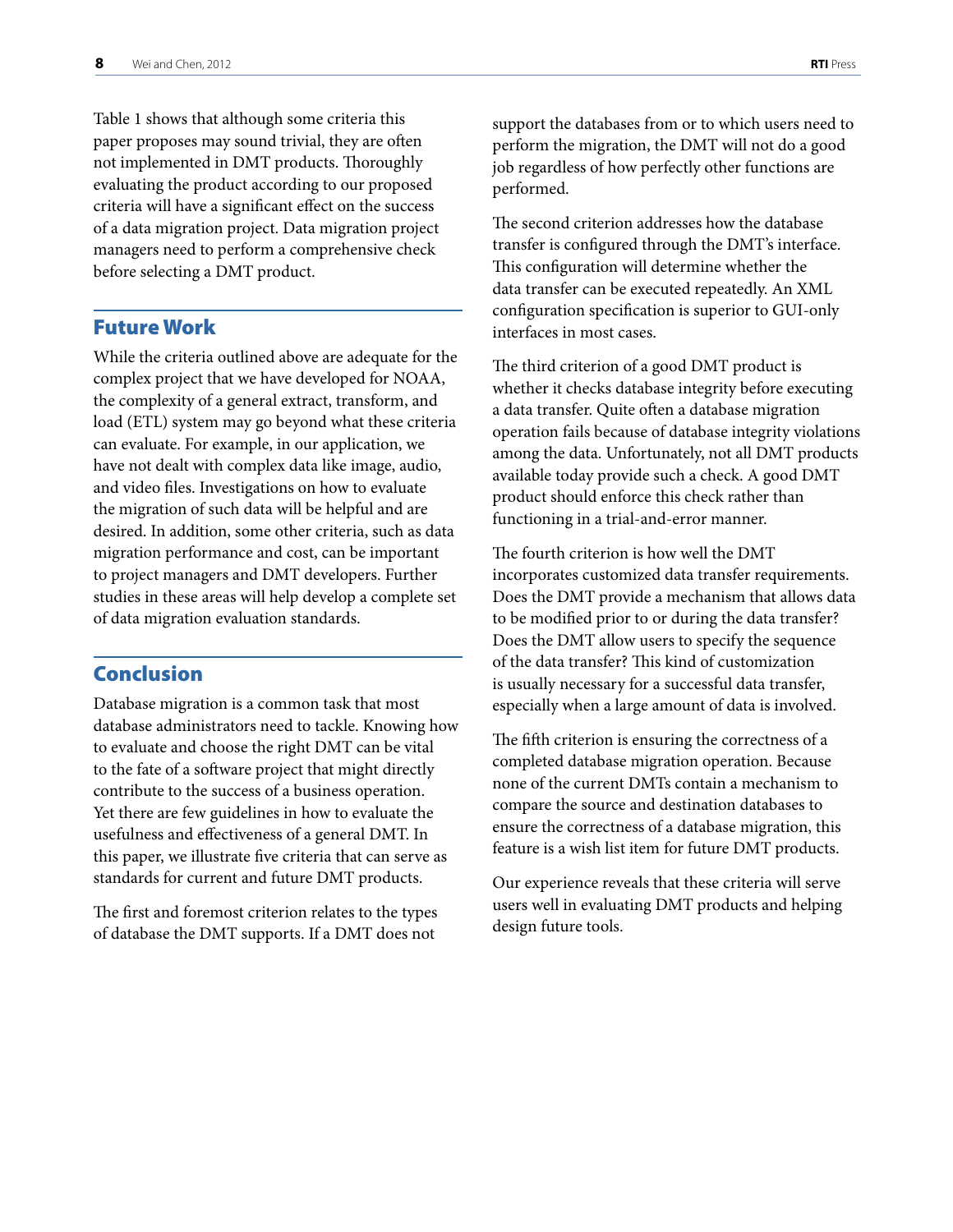<span id="page-9-0"></span>Table 1 shows that although some criteria this paper proposes may sound trivial, they are often not implemented in DMT products. Thoroughly evaluating the product according to our proposed criteria will have a significant effect on the success of a data migration project. Data migration project managers need to perform a comprehensive check before selecting a DMT product.

### Future Work

While the criteria outlined above are adequate for the complex project that we have developed for NOAA, the complexity of a general extract, transform, and load (ETL) system may go beyond what these criteria can evaluate. For example, in our application, we have not dealt with complex data like image, audio, and video files. Investigations on how to evaluate the migration of such data will be helpful and are desired. In addition, some other criteria, such as data migration performance and cost, can be important to project managers and DMT developers. Further studies in these areas will help develop a complete set of data migration evaluation standards.

# Conclusion

Database migration is a common task that most database administrators need to tackle. Knowing how to evaluate and choose the right DMT can be vital to the fate of a software project that might directly contribute to the success of a business operation. Yet there are few guidelines in how to evaluate the usefulness and effectiveness of a general DMT. In this paper, we illustrate five criteria that can serve as standards for current and future DMT products.

The first and foremost criterion relates to the types of database the DMT supports. If a DMT does not

support the databases from or to which users need to perform the migration, the DMT will not do a good job regardless of how perfectly other functions are performed.

The second criterion addresses how the database transfer is configured through the DMT's interface. This configuration will determine whether the data transfer can be executed repeatedly. An XML configuration specification is superior to GUI-only interfaces in most cases.

The third criterion of a good DMT product is whether it checks database integrity before executing a data transfer. Quite often a database migration operation fails because of database integrity violations among the data. Unfortunately, not all DMT products available today provide such a check. A good DMT product should enforce this check rather than functioning in a trial-and-error manner.

The fourth criterion is how well the DMT incorporates customized data transfer requirements. Does the DMT provide a mechanism that allows data to be modified prior to or during the data transfer? Does the DMT allow users to specify the sequence of the data transfer? This kind of customization is usually necessary for a successful data transfer, especially when a large amount of data is involved.

The fifth criterion is ensuring the correctness of a completed database migration operation. Because none of the current DMTs contain a mechanism to compare the source and destination databases to ensure the correctness of a database migration, this feature is a wish list item for future DMT products.

Our experience reveals that these criteria will serve users well in evaluating DMT products and helping design future tools.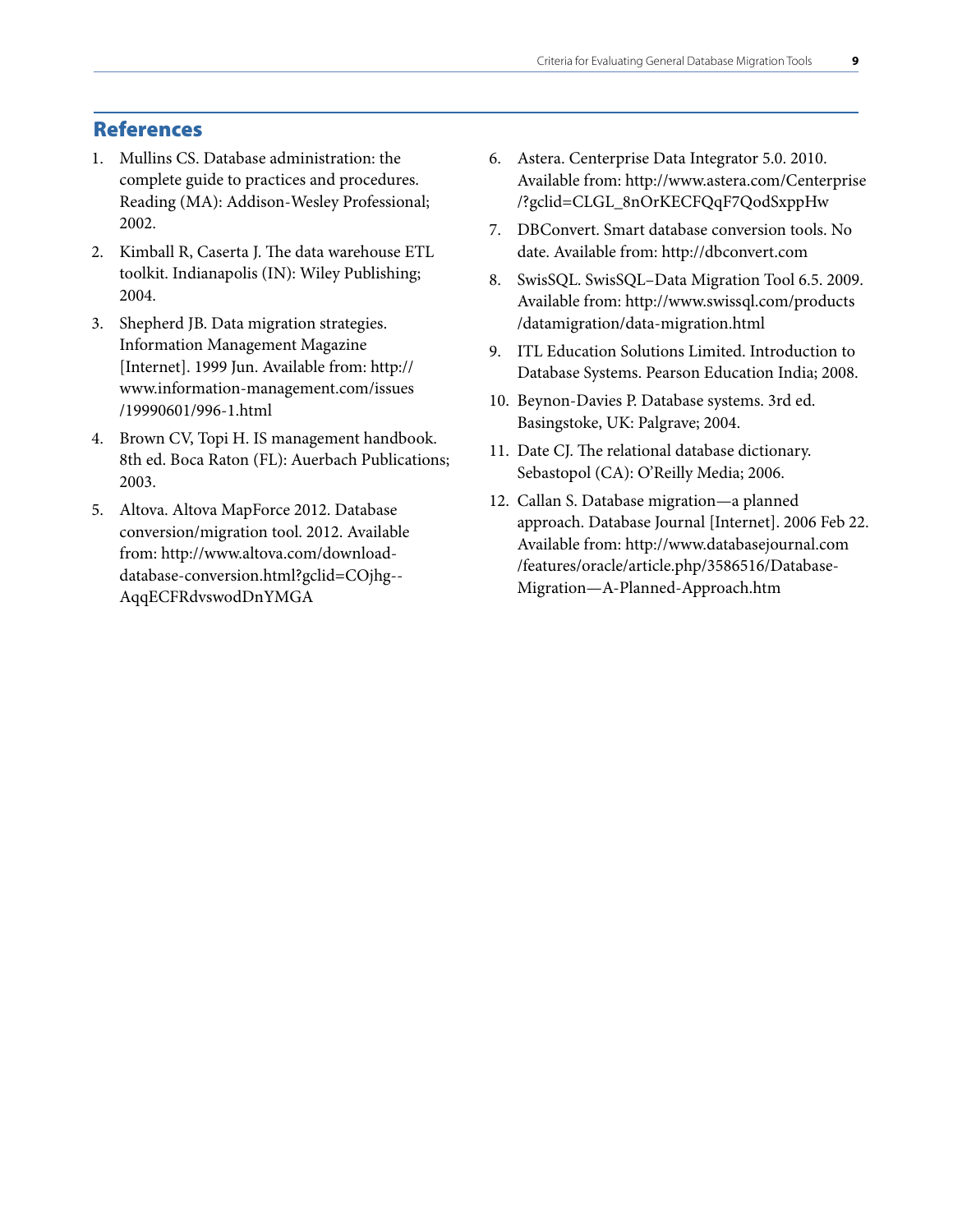# <span id="page-10-0"></span>References

- 1. Mullins CS. Database administration: the complete guide to practices and procedures. Reading (MA): Addison-Wesley Professional; 2002.
- 2. Kimball R, Caserta J. The data warehouse ETL toolkit. Indianapolis (IN): Wiley Publishing; 2004.
- 3. Shepherd JB. Data migration strategies. Information Management Magazine [Internet]. 1999 Jun. Available from: http:// [www.information-management.com/issues](http://www.information-management.com/issues/19990601/996-1.html)  /19990601/996-1.html
- 4. Brown CV, Topi H. IS management handbook. 8th ed. Boca Raton (FL): Auerbach Publications; 2003.
- 5. Altova. Altova MapForce 2012. Database conversion/migration tool. 2012. Available from: http://www.altova.com/download[database-conversion.html?gclid=COjhg--](http://www.altova.com/download-database-conversion.html?gclid=COjhg--AqqECFRdvswodDnYMGA) AqqECFRdvswodDnYMGA
- 6. Astera. Centerprise Data Integrator 5.0. 2010. [Available from: http://www.astera.com/Centerprise](http://www.astera.com/Centerprise/?gclid=CLGL_8nOrKECFQqF7QodSxppHw) /?gclid=CLGL\_8nOrKECFQqF7QodSxppHw
- 7. DBConvert. Smart database conversion tools. No date. Available from: http://dbconvert.com
- 8. SwisSQL. SwisSQL–Data Migration Tool 6.5. 2009. [Available from: http://www.swissql.com/products](http://www.swissql.com/products/datamigration/data-migration.html) /datamigration/data-migration.html
- 9. ITL Education Solutions Limited. Introduction to Database Systems. Pearson Education India; 2008.
- 10. Beynon-Davies P. Database systems. 3rd ed. Basingstoke, UK: Palgrave; 2004.
- 11. Date CJ. The relational database dictionary. Sebastopol (CA): O'Reilly Media; 2006.
- 12. Callan S. Database migration—a planned approach. Database Journal [Internet]. 2006 Feb 22. Available from: http://www.databasejournal.com [/features/oracle/article.php/3586516/Database-](http://www.databasejournal.com/features/oracle/article.php/3586516/Database-Migration%E2%80%94A-Planned-Approach.htm)Migration—A-Planned-Approach.htm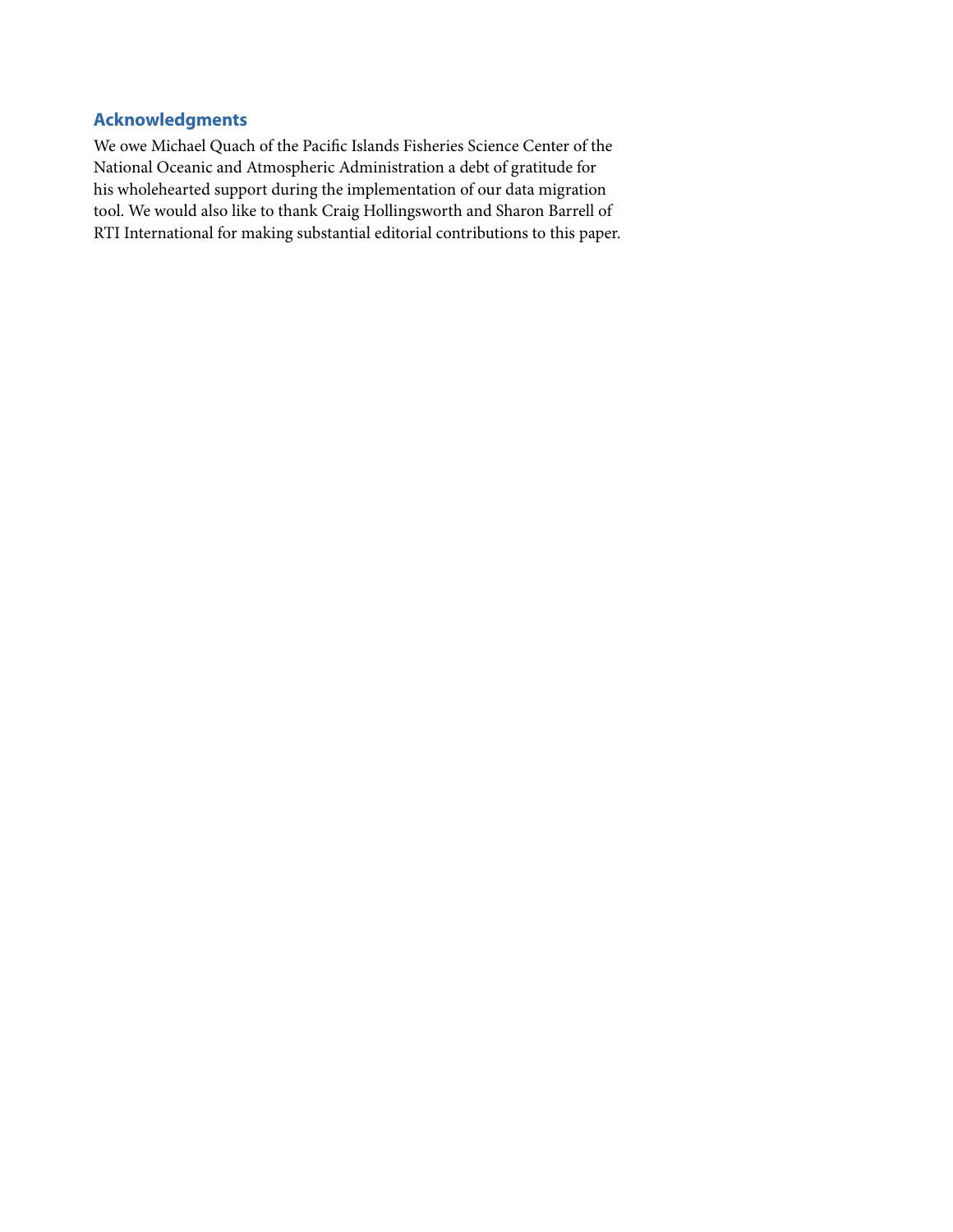# <span id="page-12-0"></span>**Acknowledgments**

We owe Michael Quach of the Pacific Islands Fisheries Science Center of the National Oceanic and Atmospheric Administration a debt of gratitude for his wholehearted support during the implementation of our data migration tool. We would also like to thank Craig Hollingsworth and Sharon Barrell of RTI International for making substantial editorial contributions to this paper.